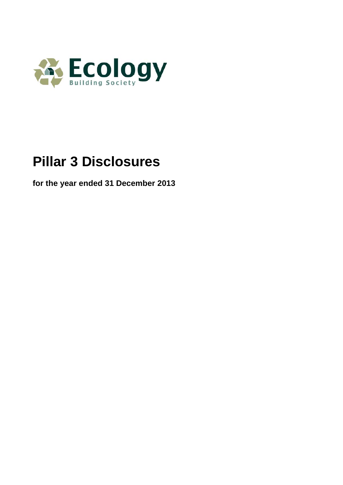

# **Pillar 3 Disclosures**

**for the year ended 31 December 2013**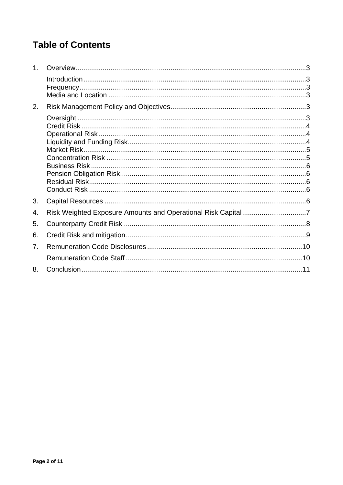## **Table of Contents**

| 1 <sub>1</sub> |  |
|----------------|--|
|                |  |
| 2.             |  |
|                |  |
|                |  |
|                |  |
| 3.             |  |
| 4.             |  |
| 5.             |  |
| 6.             |  |
| 7.             |  |
|                |  |
| 8.             |  |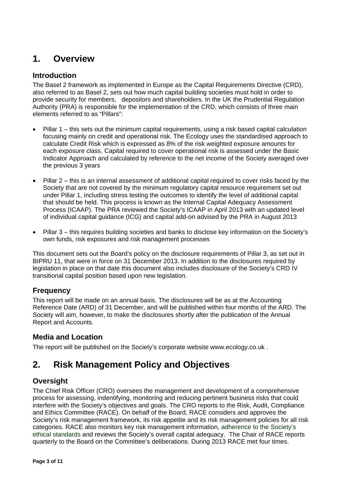## <span id="page-2-0"></span>**1. Overview**

#### <span id="page-2-1"></span>**Introduction**

The Basel 2 framework as implemented in Europe as the Capital Requirements Directive (CRD), also referred to as Basel 2, sets out how much capital building societies must hold in order to provide security for members, depositors and shareholders. In the UK the Prudential Regulation Authority (PRA) is responsible for the implementation of the CRD, which consists of three main elements referred to as "Pillars":

- Pillar 1 this sets out the minimum capital requirements, using a risk based capital calculation focusing mainly on credit and operational risk. The Ecology uses the standardised approach to calculate Credit Risk which is expressed as 8% of the risk weighted exposure amounts for each exposure class. Capital required to cover operational risk is assessed under the Basic Indicator Approach and calculated by reference to the net income of the Society averaged over the previous 3 years
- Pillar 2 this is an internal assessment of additional capital required to cover risks faced by the Society that are not covered by the minimum regulatory capital resource requirement set out under Pillar 1, including stress testing the outcomes to identify the level of additional capital that should be held. This process is known as the Internal Capital Adequacy Assessment Process (ICAAP). The PRA reviewed the Society's ICAAP in April 2013 with an updated level of individual capital guidance (ICG) and capital add-on advised by the PRA in August 2013
- Pillar 3 this requires building societies and banks to disclose key information on the Society's own funds, risk exposures and risk management processes

This document sets out the Board's policy on the disclosure requirements of Pillar 3, as set out in BIPRU 11, that were in force on 31 December 2013. In addition to the disclosures required by legislation in place on that date this document also includes disclosure of the Society's CRD IV transitional capital position based upon new legislation.

#### <span id="page-2-2"></span>**Frequency**

This report will be made on an annual basis. The disclosures will be as at the Accounting Reference Date (ARD) of 31 December, and will be published within four months of the ARD. The Society will aim, however, to make the disclosures shortly after the publication of the Annual Report and Accounts.

#### <span id="page-2-3"></span>**Media and Location**

The report will be published on the Society's corporate website [www.ecology.co.uk](http://www.ecology.co.uk/) .

## <span id="page-2-4"></span>**2. Risk Management Policy and Objectives**

#### <span id="page-2-5"></span>**Oversight**

The Chief Risk Officer (CRO) oversees the management and development of a comprehensive process for assessing, indentifying, monitoring and reducing pertinent business risks that could interfere with the Society's objectives and goals. The CRO reports to the Risk, Audit, Compliance and Ethics Committee (RACE). On behalf of the Board, RACE considers and approves the Society's risk management framework, its risk appetite and its risk management policies for all risk categories. RACE also monitors key risk management information, adherence to the Society's ethical standards and reviews the Society's overall capital adequacy. The Chair of RACE reports quarterly to the Board on the Committee's deliberations. During 2013 RACE met four times.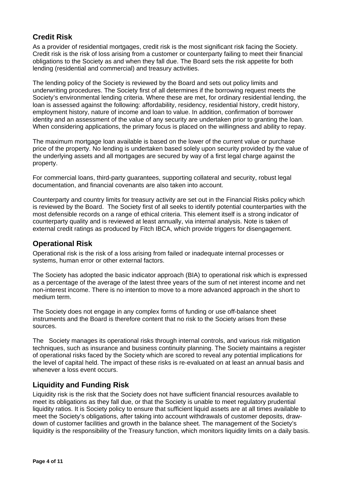#### <span id="page-3-0"></span>**Credit Risk**

As a provider of residential mortgages, credit risk is the most significant risk facing the Society. Credit risk is the risk of loss arising from a customer or counterparty failing to meet their financial obligations to the Society as and when they fall due. The Board sets the risk appetite for both lending (residential and commercial) and treasury activities.

The lending policy of the Society is reviewed by the Board and sets out policy limits and underwriting procedures. The Society first of all determines if the borrowing request meets the Society's environmental lending criteria. Where these are met, for ordinary residential lending, the loan is assessed against the following: affordability, residency, residential history, credit history, employment history, nature of income and loan to value. In addition, confirmation of borrower identity and an assessment of the value of any security are undertaken prior to granting the loan. When considering applications, the primary focus is placed on the willingness and ability to repay.

The maximum mortgage loan available is based on the lower of the current value or purchase price of the property. No lending is undertaken based solely upon security provided by the value of the underlying assets and all mortgages are secured by way of a first legal charge against the property.

For commercial loans, third-party guarantees, supporting collateral and security, robust legal documentation, and financial covenants are also taken into account.

Counterparty and country limits for treasury activity are set out in the Financial Risks policy which is reviewed by the Board. The Society first of all seeks to identify potential counterparties with the most defensible records on a range of ethical criteria. This element itself is a strong indicator of counterparty quality and is reviewed at least annually, via internal analysis. Note is taken of external credit ratings as produced by Fitch IBCA, which provide triggers for disengagement.

#### <span id="page-3-1"></span>**Operational Risk**

Operational risk is the risk of a loss arising from failed or inadequate internal processes or systems, human error or other external factors.

The Society has adopted the basic indicator approach (BIA) to operational risk which is expressed as a percentage of the average of the latest three years of the sum of net interest income and net non-interest income. There is no intention to move to a more advanced approach in the short to medium term.

The Society does not engage in any complex forms of funding or use off-balance sheet instruments and the Board is therefore content that no risk to the Society arises from these sources.

The Society manages its operational risks through internal controls, and various risk mitigation techniques, such as insurance and business continuity planning. The Society maintains a register of operational risks faced by the Society which are scored to reveal any potential implications for the level of capital held. The impact of these risks is re-evaluated on at least an annual basis and whenever a loss event occurs.

#### <span id="page-3-2"></span>**Liquidity and Funding Risk**

Liquidity risk is the risk that the Society does not have sufficient financial resources available to meet its obligations as they fall due, or that the Society is unable to meet regulatory prudential liquidity ratios. It is Society policy to ensure that sufficient liquid assets are at all times available to meet the Society's obligations, after taking into account withdrawals of customer deposits, drawdown of customer facilities and growth in the balance sheet. The management of the Society's liquidity is the responsibility of the Treasury function, which monitors liquidity limits on a daily basis.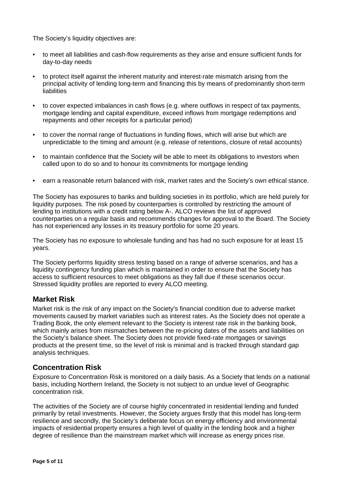The Society's liquidity objectives are:

- to meet all liabilities and cash-flow requirements as they arise and ensure sufficient funds for day-to-day needs
- to protect itself against the inherent maturity and interest-rate mismatch arising from the principal activity of lending long-term and financing this by means of predominantly short-term **liabilities**
- to cover expected imbalances in cash flows (e.g. where outflows in respect of tax payments, mortgage lending and capital expenditure, exceed inflows from mortgage redemptions and repayments and other receipts for a particular period)
- to cover the normal range of fluctuations in funding flows, which will arise but which are unpredictable to the timing and amount (e.g. release of retentions, closure of retail accounts)
- to maintain confidence that the Society will be able to meet its obligations to investors when called upon to do so and to honour its commitments for mortgage lending
- earn a reasonable return balanced with risk, market rates and the Society's own ethical stance.

The Society has exposures to banks and building societies in its portfolio, which are held purely for liquidity purposes. The risk posed by counterparties is controlled by restricting the amount of lending to institutions with a credit rating below A-. ALCO reviews the list of approved counterparties on a regular basis and recommends changes for approval to the Board. The Society has not experienced any losses in its treasury portfolio for some 20 years.

The Society has no exposure to wholesale funding and has had no such exposure for at least 15 years.

The Society performs liquidity stress testing based on a range of adverse scenarios, and has a liquidity contingency funding plan which is maintained in order to ensure that the Society has access to sufficient resources to meet obligations as they fall due if these scenarios occur. Stressed liquidity profiles are reported to every ALCO meeting.

#### <span id="page-4-0"></span>**Market Risk**

Market risk is the risk of any impact on the Society's financial condition due to adverse market movements caused by market variables such as interest rates. As the Society does not operate a Trading Book, the only element relevant to the Society is interest rate risk in the banking book, which mainly arises from mismatches between the re-pricing dates of the assets and liabilities on the Society's balance sheet. The Society does not provide fixed-rate mortgages or savings products at the present time, so the level of risk is minimal and is tracked through standard gap analysis techniques.

#### <span id="page-4-1"></span>**Concentration Risk**

Exposure to Concentration Risk is monitored on a daily basis. As a Society that lends on a national basis, including Northern Ireland, the Society is not subject to an undue level of Geographic concentration risk.

The activities of the Society are of course highly concentrated in residential lending and funded primarily by retail investments. However, the Society argues firstly that this model has long-term resilience and secondly, the Society's deliberate focus on energy efficiency and environmental impacts of residential property ensures a high level of quality in the lending book and a higher degree of resilience than the mainstream market which will increase as energy prices rise.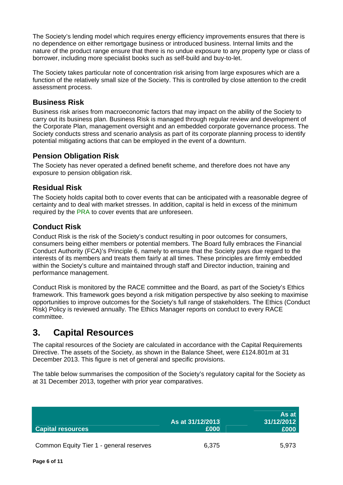The Society's lending model which requires energy efficiency improvements ensures that there is no dependence on either remortgage business or introduced business. Internal limits and the nature of the product range ensure that there is no undue exposure to any property type or class of borrower, including more specialist books such as self-build and buy-to-let.

The Society takes particular note of concentration risk arising from large exposures which are a function of the relatively small size of the Society. This is controlled by close attention to the credit assessment process.

#### <span id="page-5-0"></span>**Business Risk**

Business risk arises from macroeconomic factors that may impact on the ability of the Society to carry out its business plan. Business Risk is managed through regular review and development of the Corporate Plan, management oversight and an embedded corporate governance process. The Society conducts stress and scenario analysis as part of its corporate planning process to identify potential mitigating actions that can be employed in the event of a downturn.

#### <span id="page-5-1"></span>**Pension Obligation Risk**

The Society has never operated a defined benefit scheme, and therefore does not have any exposure to pension obligation risk.

#### <span id="page-5-2"></span>**Residual Risk**

The Society holds capital both to cover events that can be anticipated with a reasonable degree of certainty and to deal with market stresses. In addition, capital is held in excess of the minimum required by the PRA to cover events that are unforeseen.

#### <span id="page-5-3"></span>**Conduct Risk**

Conduct Risk is the risk of the Society's conduct resulting in poor outcomes for consumers, consumers being either members or potential members. The Board fully embraces the Financial Conduct Authority (FCA)'s Principle 6, namely to ensure that the Society pays due regard to the interests of its members and treats them fairly at all times. These principles are firmly embedded within the Society's culture and maintained through staff and Director induction, training and performance management.

Conduct Risk is monitored by the RACE committee and the Board, as part of the Society's Ethics framework. This framework goes beyond a risk mitigation perspective by also seeking to maximise opportunities to improve outcomes for the Society's full range of stakeholders. The Ethics (Conduct Risk) Policy is reviewed annually. The Ethics Manager reports on conduct to every RACE committee.

### <span id="page-5-4"></span>**3. Capital Resources**

The capital resources of the Society are calculated in accordance with the Capital Requirements Directive. The assets of the Society, as shown in the Balance Sheet, were £124.801m at 31 December 2013. This figure is net of general and specific provisions.

The table below summarises the composition of the Society's regulatory capital for the Society as at 31 December 2013, together with prior year comparatives.

| <b>Capital resources</b>                | As at 31/12/2013<br>£000 | As at<br>31/12/2012<br>£000 |
|-----------------------------------------|--------------------------|-----------------------------|
| Common Equity Tier 1 - general reserves | 6,375                    | 5,973                       |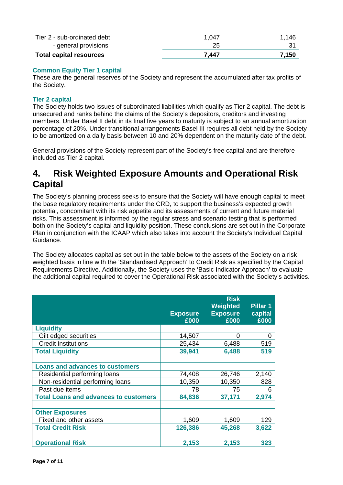| - general provisions           | 25    |       |
|--------------------------------|-------|-------|
| <b>Total capital resources</b> | 7.447 | 7.150 |

#### **Common Equity Tier 1 capital**

These are the general reserves of the Society and represent the accumulated after tax profits of the Society.

#### **Tier 2 capital**

The Society holds two issues of subordinated liabilities which qualify as Tier 2 capital. The debt is unsecured and ranks behind the claims of the Society's depositors, creditors and investing members. Under Basel II debt in its final five years to maturity is subject to an annual amortization percentage of 20%. Under transitional arrangements Basel III requires all debt held by the Society to be amortized on a daily basis between 10 and 20% dependent on the maturity date of the debt.

General provisions of the Society represent part of the Society's free capital and are therefore included as Tier 2 capital.

## <span id="page-6-0"></span>**4. Risk Weighted Exposure Amounts and Operational Risk Capital**

The Society's planning process seeks to ensure that the Society will have enough capital to meet the base regulatory requirements under the CRD, to support the business's expected growth potential, concomitant with its risk appetite and its assessments of current and future material risks. This assessment is informed by the regular stress and scenario testing that is performed both on the Society's capital and liquidity position. These conclusions are set out in the Corporate Plan in conjunction with the ICAAP which also takes into account the Society's Individual Capital Guidance.

The Society allocates capital as set out in the table below to the assets of the Society on a risk weighted basis in line with the 'Standardised Approach' to Credit Risk as specified by the Capital Requirements Directive. Additionally, the Society uses the 'Basic Indicator Approach' to evaluate the additional capital required to cover the Operational Risk associated with the Society's activities.

|                                              | <b>Risk</b><br>Weighted<br>Pillar 1 |                         |                 |
|----------------------------------------------|-------------------------------------|-------------------------|-----------------|
|                                              | <b>Exposure</b><br>£000             | <b>Exposure</b><br>£000 | capital<br>£000 |
| <b>Liquidity</b>                             |                                     |                         |                 |
| Gilt edged securities                        | 14,507                              | 0                       | 0               |
| <b>Credit Institutions</b>                   | 25,434                              | 6,488                   | 519             |
| <b>Total Liquidity</b>                       | 39,941                              | 6,488                   | 519             |
|                                              |                                     |                         |                 |
| <b>Loans and advances to customers</b>       |                                     |                         |                 |
| Residential performing loans                 | 74,408                              | 26,746                  | 2,140           |
| Non-residential performing loans             | 10,350                              | 10,350                  | 828             |
| Past due items                               | 78                                  | 75                      | 6               |
| <b>Total Loans and advances to customers</b> | 84,836                              | 37,171                  | 2,974           |
|                                              |                                     |                         |                 |
| <b>Other Exposures</b>                       |                                     |                         |                 |
| Fixed and other assets                       | 1,609                               | 1,609                   | 129             |
| <b>Total Credit Risk</b>                     | 126,386                             | 45,268                  | 3,622           |
|                                              |                                     |                         |                 |
| <b>Operational Risk</b>                      | 2,153                               | 2,153                   | 323             |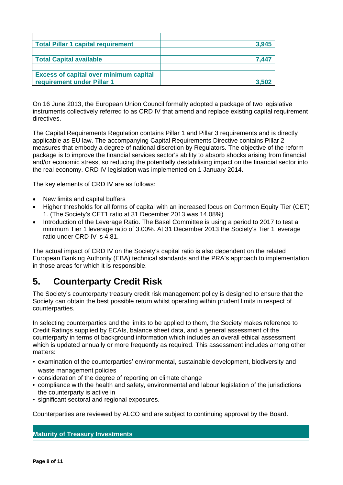| <b>Total Pillar 1 capital requirement</b>     | 3,945 |
|-----------------------------------------------|-------|
|                                               |       |
| <b>Total Capital available</b>                | 7.447 |
|                                               |       |
| <b>Excess of capital over minimum capital</b> |       |
| requirement under Pillar 1                    | 3.502 |

On 16 June 2013, the European Union Council formally adopted a package of two legislative instruments collectively referred to as CRD IV that amend and replace existing capital requirement directives.

The Capital Requirements Regulation contains Pillar 1 and Pillar 3 requirements and is directly applicable as EU law. The accompanying Capital Requirements Directive contains Pillar 2 measures that embody a degree of national discretion by Regulators. The objective of the reform package is to improve the financial services sector's ability to absorb shocks arising from financial and/or economic stress, so reducing the potentially destabilising impact on the financial sector into the real economy. CRD IV legislation was implemented on 1 January 2014.

The key elements of CRD IV are as follows:

- New limits and capital buffers
- Higher thresholds for all forms of capital with an increased focus on Common Equity Tier (CET) 1. (The Society's CET1 ratio at 31 December 2013 was 14.08%)
- Introduction of the Leverage Ratio. The Basel Committee is using a period to 2017 to test a minimum Tier 1 leverage ratio of 3.00%. At 31 December 2013 the Society's Tier 1 leverage ratio under CRD IV is 4.81.

The actual impact of CRD IV on the Society's capital ratio is also dependent on the related European Banking Authority (EBA) technical standards and the PRA's approach to implementation in those areas for which it is responsible.

## <span id="page-7-0"></span>**5. Counterparty Credit Risk**

The Society's counterparty treasury credit risk management policy is designed to ensure that the Society can obtain the best possible return whilst operating within prudent limits in respect of counterparties.

In selecting counterparties and the limits to be applied to them, the Society makes reference to Credit Ratings supplied by ECAIs, balance sheet data, and a general assessment of the counterparty in terms of background information which includes an overall ethical assessment which is updated annually or more frequently as required. This assessment includes among other matters:

- examination of the counterparties' environmental, sustainable development, biodiversity and waste management policies
- consideration of the degree of reporting on climate change
- compliance with the health and safety, environmental and labour legislation of the jurisdictions the counterparty is active in
- significant sectoral and regional exposures.

Counterparties are reviewed by ALCO and are subject to continuing approval by the Board.

#### **Maturity of Treasury Investments**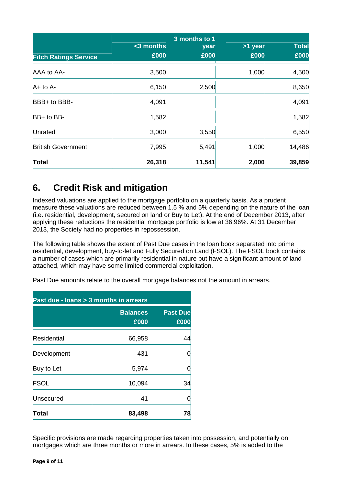| <b>Fitch Ratings Service</b> | $3$ months<br>£000 | 3 months to 1<br>year<br>£000 | >1 year<br>£000 | <b>Total</b><br>£000 |
|------------------------------|--------------------|-------------------------------|-----------------|----------------------|
| AAA to AA-                   | 3,500              |                               | 1,000           | 4,500                |
| $A+$ to $A-$                 | 6,150              | 2,500                         |                 | 8,650                |
| BBB+ to BBB-                 | 4,091              |                               |                 | 4,091                |
| BB+ to BB-                   | 1,582              |                               |                 | 1,582                |
| Unrated                      | 3,000              | 3,550                         |                 | 6,550                |
| <b>British Government</b>    | 7,995              | 5,491                         | 1,000           | 14,486               |
| Total                        | 26,318             | 11,541                        | 2,000           | 39,859               |

## <span id="page-8-0"></span>**6. Credit Risk and mitigation**

Indexed valuations are applied to the mortgage portfolio on a quarterly basis. As a prudent measure these valuations are reduced between 1.5 % and 5% depending on the nature of the loan (i.e. residential, development, secured on land or Buy to Let). At the end of December 2013, after applying these reductions the residential mortgage portfolio is low at 36.96%. At 31 December 2013, the Society had no properties in repossession.

The following table shows the extent of Past Due cases in the loan book separated into prime residential, development, buy-to-let and Fully Secured on Land (FSOL). The FSOL book contains a number of cases which are primarily residential in nature but have a significant amount of land attached, which may have some limited commercial exploitation.

Past Due amounts relate to the overall mortgage balances not the amount in arrears.

| Past due - Ioans > 3 months in arrears |        |                         |  |  |
|----------------------------------------|--------|-------------------------|--|--|
| <b>Balances</b><br>£000                |        | <b>Past Due</b><br>£000 |  |  |
| Residential                            | 66,958 | 44                      |  |  |
| Development                            | 431    |                         |  |  |
| Buy to Let                             | 5,974  |                         |  |  |
| <b>FSOL</b>                            | 10,094 | 34                      |  |  |
| Unsecured                              | 41     |                         |  |  |
| Total                                  | 83,498 | 78                      |  |  |

Specific provisions are made regarding properties taken into possession, and potentially on mortgages which are three months or more in arrears. In these cases, 5% is added to the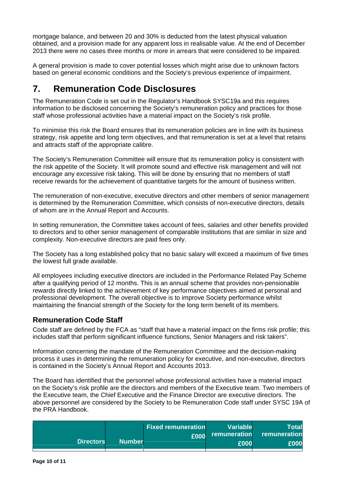mortgage balance, and between 20 and 30% is deducted from the latest physical valuation obtained, and a provision made for any apparent loss in realisable value. At the end of December 2013 there were no cases three months or more in arrears that were considered to be impaired.

A general provision is made to cover potential losses which might arise due to unknown factors based on general economic conditions and the Society's previous experience of impairment.

## <span id="page-9-0"></span>**7. Remuneration Code Disclosures**

The Remuneration Code is set out in the Regulator's Handbook SYSC19a and this requires information to be disclosed concerning the Society's remuneration policy and practices for those staff whose professional activities have a material impact on the Society's risk profile.

To minimise this risk the Board ensures that its remuneration policies are in line with its business strategy, risk appetite and long term objectives, and that remuneration is set at a level that retains and attracts staff of the appropriate calibre.

The Society's Remuneration Committee will ensure that its remuneration policy is consistent with the risk appetite of the Society. It will promote sound and effective risk management and will not encourage any excessive risk taking. This will be done by ensuring that no members of staff receive rewards for the achievement of quantitative targets for the amount of business written.

The remuneration of non-executive, executive directors and other members of senior management is determined by the Remuneration Committee, which consists of non-executive directors, details of whom are in the Annual Report and Accounts.

In setting remuneration, the Committee takes account of fees, salaries and other benefits provided to directors and to other senior management of comparable institutions that are similar in size and complexity. Non-executive directors are paid fees only.

The Society has a long established policy that no basic salary will exceed a maximum of five times the lowest full grade available.

All employees including executive directors are included in the Performance Related Pay Scheme after a qualifying period of 12 months. This is an annual scheme that provides non-pensionable rewards directly linked to the achievement of key performance objectives aimed at personal and professional development. The overall objective is to improve Society performance whilst maintaining the financial strength of the Society for the long term benefit of its members.

#### <span id="page-9-1"></span>**Remuneration Code Staff**

Code staff are defined by the FCA as "staff that have a material impact on the firms risk profile; this includes staff that perform significant influence functions, Senior Managers and risk takers".

Information concerning the mandate of the Remuneration Committee and the decision-making process it uses in determining the remuneration policy for executive, and non-executive, directors is contained in the Society's Annual Report and Accounts 2013.

The Board has identified that the personnel whose professional activities have a material impact on the Society's risk profile are the directors and members of the Executive team. Two members of the Executive team, the Chief Executive and the Finance Director are executive directors. The above personnel are considered by the Society to be Remuneration Code staff under SYSC 19A of the PRA Handbook.

| <b>Directors</b> | <b>Number</b> | <b>Fixed remuneration</b><br>£000 | <b>Variable</b><br>remuneration<br>£000 | Total<br>remuneration<br>£000 |
|------------------|---------------|-----------------------------------|-----------------------------------------|-------------------------------|
|                  |               |                                   |                                         |                               |